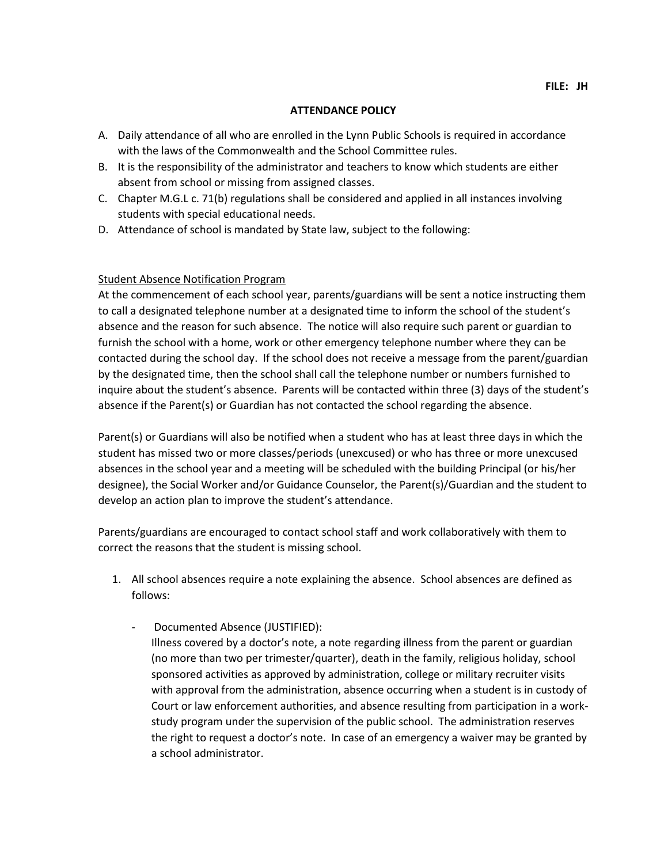### **ATTENDANCE POLICY**

- A. Daily attendance of all who are enrolled in the Lynn Public Schools is required in accordance with the laws of the Commonwealth and the School Committee rules.
- B. It is the responsibility of the administrator and teachers to know which students are either absent from school or missing from assigned classes.
- C. Chapter M.G.L c. 71(b) regulations shall be considered and applied in all instances involving students with special educational needs.
- D. Attendance of school is mandated by State law, subject to the following:

# Student Absence Notification Program

At the commencement of each school year, parents/guardians will be sent a notice instructing them to call a designated telephone number at a designated time to inform the school of the student's absence and the reason for such absence. The notice will also require such parent or guardian to furnish the school with a home, work or other emergency telephone number where they can be contacted during the school day. If the school does not receive a message from the parent/guardian by the designated time, then the school shall call the telephone number or numbers furnished to inquire about the student's absence. Parents will be contacted within three (3) days of the student's absence if the Parent(s) or Guardian has not contacted the school regarding the absence.

Parent(s) or Guardians will also be notified when a student who has at least three days in which the student has missed two or more classes/periods (unexcused) or who has three or more unexcused absences in the school year and a meeting will be scheduled with the building Principal (or his/her designee), the Social Worker and/or Guidance Counselor, the Parent(s)/Guardian and the student to develop an action plan to improve the student's attendance.

Parents/guardians are encouraged to contact school staff and work collaboratively with them to correct the reasons that the student is missing school.

- 1. All school absences require a note explaining the absence. School absences are defined as follows:
	- Documented Absence (JUSTIFIED): Illness covered by a doctor's note, a note regarding illness from the parent or guardian (no more than two per trimester/quarter), death in the family, religious holiday, school sponsored activities as approved by administration, college or military recruiter visits with approval from the administration, absence occurring when a student is in custody of Court or law enforcement authorities, and absence resulting from participation in a workstudy program under the supervision of the public school. The administration reserves the right to request a doctor's note. In case of an emergency a waiver may be granted by a school administrator.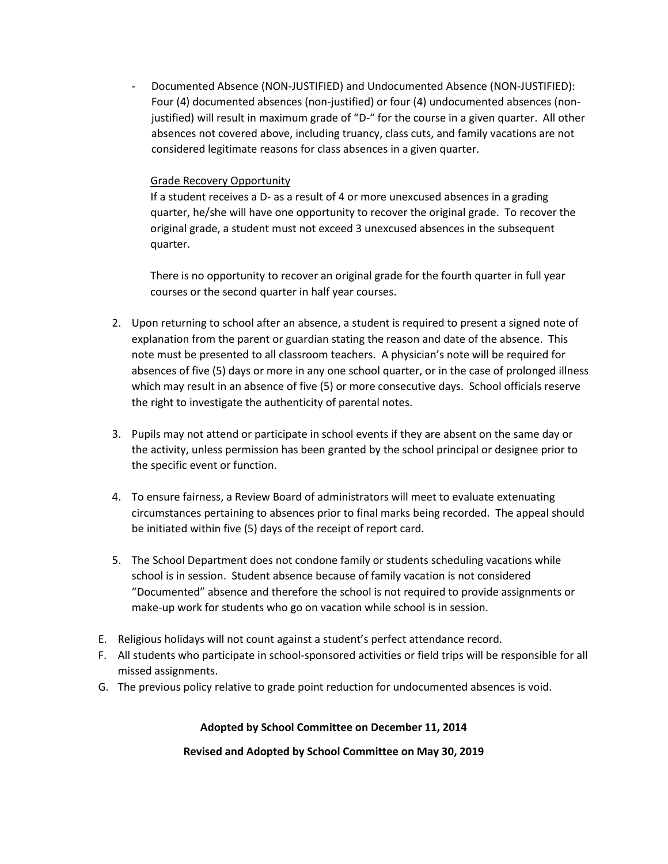- Documented Absence (NON-JUSTIFIED) and Undocumented Absence (NON-JUSTIFIED): Four (4) documented absences (non-justified) or four (4) undocumented absences (nonjustified) will result in maximum grade of "D-" for the course in a given quarter. All other absences not covered above, including truancy, class cuts, and family vacations are not considered legitimate reasons for class absences in a given quarter.

## Grade Recovery Opportunity

 If a student receives a D- as a result of 4 or more unexcused absences in a grading quarter, he/she will have one opportunity to recover the original grade. To recover the original grade, a student must not exceed 3 unexcused absences in the subsequent quarter.

 There is no opportunity to recover an original grade for the fourth quarter in full year courses or the second quarter in half year courses.

- 2. Upon returning to school after an absence, a student is required to present a signed note of explanation from the parent or guardian stating the reason and date of the absence. This note must be presented to all classroom teachers. A physician's note will be required for absences of five (5) days or more in any one school quarter, or in the case of prolonged illness which may result in an absence of five (5) or more consecutive days. School officials reserve the right to investigate the authenticity of parental notes.
- 3. Pupils may not attend or participate in school events if they are absent on the same day or the activity, unless permission has been granted by the school principal or designee prior to the specific event or function.
- 4. To ensure fairness, a Review Board of administrators will meet to evaluate extenuating circumstances pertaining to absences prior to final marks being recorded. The appeal should be initiated within five (5) days of the receipt of report card.
- 5. The School Department does not condone family or students scheduling vacations while school is in session. Student absence because of family vacation is not considered "Documented" absence and therefore the school is not required to provide assignments or make-up work for students who go on vacation while school is in session.
- E. Religious holidays will not count against a student's perfect attendance record.
- F. All students who participate in school-sponsored activities or field trips will be responsible for all missed assignments.
- G. The previous policy relative to grade point reduction for undocumented absences is void.

### **Adopted by School Committee on December 11, 2014**

### **Revised and Adopted by School Committee on May 30, 2019**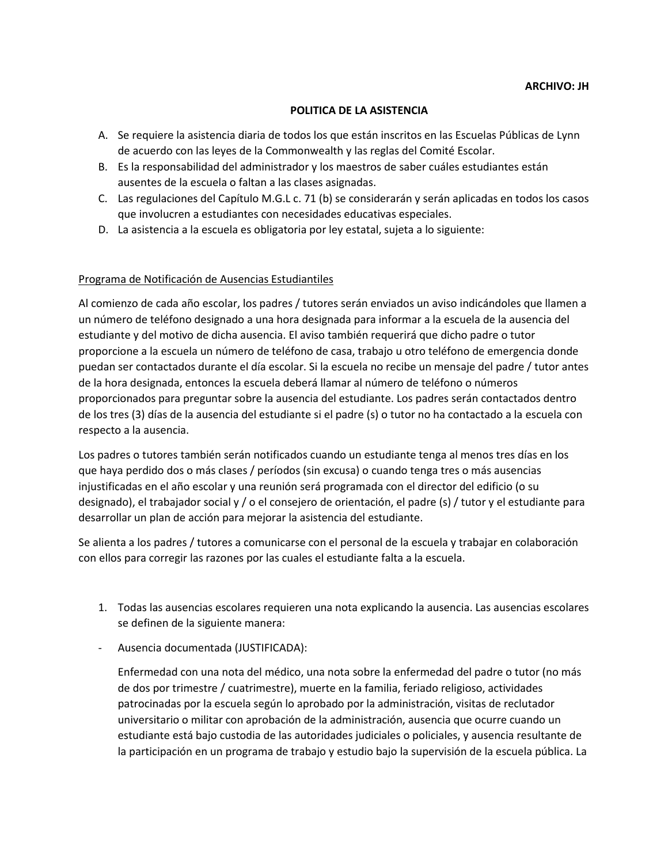#### **POLITICA DE LA ASISTENCIA**

- A. Se requiere la asistencia diaria de todos los que están inscritos en las Escuelas Públicas de Lynn de acuerdo con las leyes de la Commonwealth y las reglas del Comité Escolar.
- B. Es la responsabilidad del administrador y los maestros de saber cuáles estudiantes están ausentes de la escuela o faltan a las clases asignadas.
- C. Las regulaciones del Capítulo M.G.L c. 71 (b) se considerarán y serán aplicadas en todos los casos que involucren a estudiantes con necesidades educativas especiales.
- D. La asistencia a la escuela es obligatoria por ley estatal, sujeta a lo siguiente:

### Programa de Notificación de Ausencias Estudiantiles

Al comienzo de cada año escolar, los padres / tutores serán enviados un aviso indicándoles que llamen a un número de teléfono designado a una hora designada para informar a la escuela de la ausencia del estudiante y del motivo de dicha ausencia. El aviso también requerirá que dicho padre o tutor proporcione a la escuela un número de teléfono de casa, trabajo u otro teléfono de emergencia donde puedan ser contactados durante el día escolar. Si la escuela no recibe un mensaje del padre / tutor antes de la hora designada, entonces la escuela deberá llamar al número de teléfono o números proporcionados para preguntar sobre la ausencia del estudiante. Los padres serán contactados dentro de los tres (3) días de la ausencia del estudiante si el padre (s) o tutor no ha contactado a la escuela con respecto a la ausencia.

Los padres o tutores también serán notificados cuando un estudiante tenga al menos tres días en los que haya perdido dos o más clases / períodos (sin excusa) o cuando tenga tres o más ausencias injustificadas en el año escolar y una reunión será programada con el director del edificio (o su designado), el trabajador social y / o el consejero de orientación, el padre (s) / tutor y el estudiante para desarrollar un plan de acción para mejorar la asistencia del estudiante.

Se alienta a los padres / tutores a comunicarse con el personal de la escuela y trabajar en colaboración con ellos para corregir las razones por las cuales el estudiante falta a la escuela.

- 1. Todas las ausencias escolares requieren una nota explicando la ausencia. Las ausencias escolares se definen de la siguiente manera:
- Ausencia documentada (JUSTIFICADA):

Enfermedad con una nota del médico, una nota sobre la enfermedad del padre o tutor (no más de dos por trimestre / cuatrimestre), muerte en la familia, feriado religioso, actividades patrocinadas por la escuela según lo aprobado por la administración, visitas de reclutador universitario o militar con aprobación de la administración, ausencia que ocurre cuando un estudiante está bajo custodia de las autoridades judiciales o policiales, y ausencia resultante de la participación en un programa de trabajo y estudio bajo la supervisión de la escuela pública. La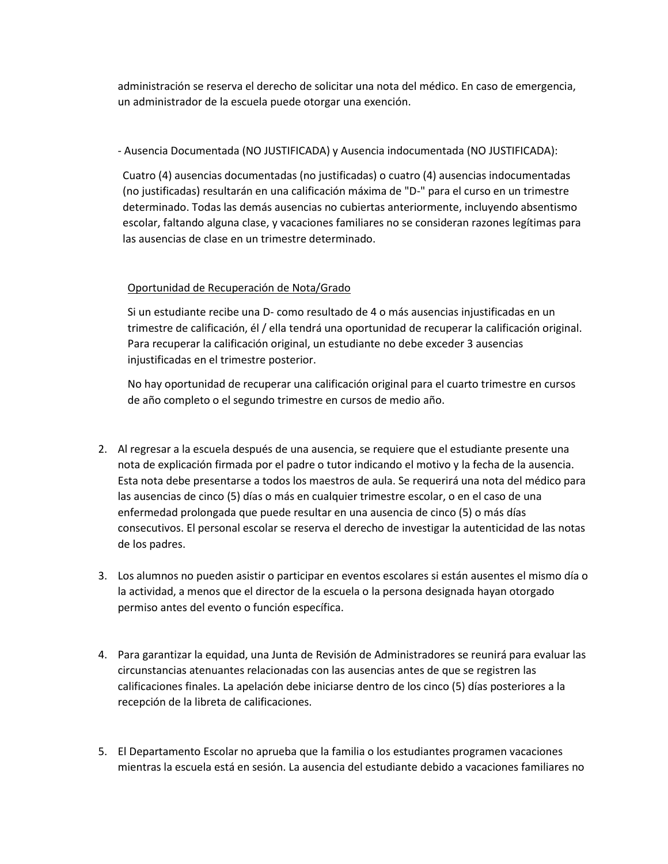administración se reserva el derecho de solicitar una nota del médico. En caso de emergencia, un administrador de la escuela puede otorgar una exención.

## - Ausencia Documentada (NO JUSTIFICADA) y Ausencia indocumentada (NO JUSTIFICADA):

Cuatro (4) ausencias documentadas (no justificadas) o cuatro (4) ausencias indocumentadas (no justificadas) resultarán en una calificación máxima de "D-" para el curso en un trimestre determinado. Todas las demás ausencias no cubiertas anteriormente, incluyendo absentismo escolar, faltando alguna clase, y vacaciones familiares no se consideran razones legítimas para las ausencias de clase en un trimestre determinado.

# Oportunidad de Recuperación de Nota/Grado

Si un estudiante recibe una D- como resultado de 4 o más ausencias injustificadas en un trimestre de calificación, él / ella tendrá una oportunidad de recuperar la calificación original. Para recuperar la calificación original, un estudiante no debe exceder 3 ausencias injustificadas en el trimestre posterior.

No hay oportunidad de recuperar una calificación original para el cuarto trimestre en cursos de año completo o el segundo trimestre en cursos de medio año.

- 2. Al regresar a la escuela después de una ausencia, se requiere que el estudiante presente una nota de explicación firmada por el padre o tutor indicando el motivo y la fecha de la ausencia. Esta nota debe presentarse a todos los maestros de aula. Se requerirá una nota del médico para las ausencias de cinco (5) días o más en cualquier trimestre escolar, o en el caso de una enfermedad prolongada que puede resultar en una ausencia de cinco (5) o más días consecutivos. El personal escolar se reserva el derecho de investigar la autenticidad de las notas de los padres.
- 3. Los alumnos no pueden asistir o participar en eventos escolares si están ausentes el mismo día o la actividad, a menos que el director de la escuela o la persona designada hayan otorgado permiso antes del evento o función específica.
- 4. Para garantizar la equidad, una Junta de Revisión de Administradores se reunirá para evaluar las circunstancias atenuantes relacionadas con las ausencias antes de que se registren las calificaciones finales. La apelación debe iniciarse dentro de los cinco (5) días posteriores a la recepción de la libreta de calificaciones.
- 5. El Departamento Escolar no aprueba que la familia o los estudiantes programen vacaciones mientras la escuela está en sesión. La ausencia del estudiante debido a vacaciones familiares no